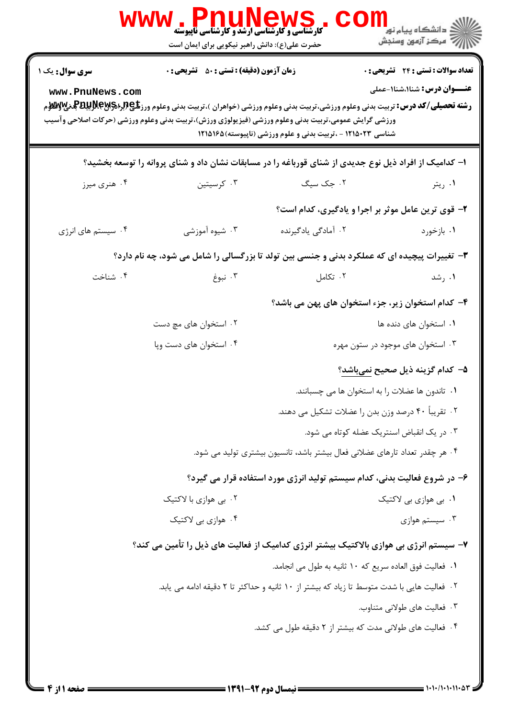|                                                                                                       | <b>FUUNGWS</b><br><b>کارشناسی و کارشناسی ارشد و کارشناسی ناپیوسته</b><br>حضرت علی(ع): دانش راهبر نیکویی برای ایمان است                                     |                                                            | ≦ دانشگاه پيام نو <mark>ر</mark><br>ر آمرڪز آزمون وسنڊش                                                                                                                                                                                      |  |  |
|-------------------------------------------------------------------------------------------------------|------------------------------------------------------------------------------------------------------------------------------------------------------------|------------------------------------------------------------|----------------------------------------------------------------------------------------------------------------------------------------------------------------------------------------------------------------------------------------------|--|--|
| <b>سری سوال :</b> یک ۱<br>www.PnuNews.com                                                             | <b>زمان آزمون (دقیقه) : تستی : 50 ٪ تشریحی : 0</b><br>ورزشي گرايش عمومي،تربيت بدني وعلوم ورزشي (فيزيولوژي ورزش)،تربيت بدني وعلوم ورزشي (حركات اصلاحي وآسيب | شناسی ۱۲۱۵۰۲۳ - ،تربیت بدنی و علوم ورزشی (ناپیوسته)۱۲۱۵۱۶۵ | <b>تعداد سوالات : تستی : 24 ۔ تشریحی : 0</b><br><b>عنـــوان درس:</b> شنا۱،شنا۱-عملی<br><b>رشته تحصیلی/کد درس:</b> تربیت بدنی وعلوم ورزشی،تربیت بدنی وعلوم ورزشی (خواهران )،تربیت بدنی وعلوم ورز <b>شگی(لپرلیلپرلیلپ بالولال</b> ولایی بالایل |  |  |
| ۱– کدامیک از افراد ذیل نوع جدیدی از شنای قورباغه را در مسابقات نشان داد و شنای پروانه را توسعه بخشید؟ |                                                                                                                                                            |                                                            |                                                                                                                                                                                                                                              |  |  |
| ۰۴ هنري ميرز                                                                                          | ۰۳ کرسیتین                                                                                                                                                 | ۰۲ جک سیگ                                                  | ۰۱ ريتر                                                                                                                                                                                                                                      |  |  |
|                                                                                                       |                                                                                                                                                            |                                                            | ۲- قوی ترین عامل موثر بر اجرا و یادگیری، کدام است؟                                                                                                                                                                                           |  |  |
| ۰۴ سیستم های انرژی                                                                                    | ۰۳ شیوه آموزشی                                                                                                                                             | ۰۲ آمادگی یادگیرنده                                        | ۰۱ بازخورد                                                                                                                                                                                                                                   |  |  |
| ۳- تغییرات پیچیده ای که عملکرد بدنی و جنسی بین تولد تا بزرگسالی را شامل می شود، چه نام دارد؟          |                                                                                                                                                            |                                                            |                                                                                                                                                                                                                                              |  |  |
| ۰۴ شناخت                                                                                              | ۰۳ نبوغ                                                                                                                                                    | ۰۲ تکامل                                                   | ۰۱ رشد                                                                                                                                                                                                                                       |  |  |
|                                                                                                       |                                                                                                                                                            |                                                            | ۴– کدام استخوان زیر، جزء استخوان های پهن می باشد؟                                                                                                                                                                                            |  |  |
|                                                                                                       | ۰۲ استخوان های مچ دست                                                                                                                                      |                                                            | ۰۱ استخوان های دنده ها                                                                                                                                                                                                                       |  |  |
| ۰۴ استخوان های دست وپا                                                                                |                                                                                                                                                            |                                                            | ۰۳ استخوان های موجود در ستون مهره                                                                                                                                                                                                            |  |  |
|                                                                                                       |                                                                                                                                                            |                                                            | ۵– کدام گزینه ذیل صحیح <u>نمیباشد</u> ؟                                                                                                                                                                                                      |  |  |
|                                                                                                       |                                                                                                                                                            |                                                            | ۰۱ تاندون ها عضلات را به استخوان ها می چسبانند.                                                                                                                                                                                              |  |  |
|                                                                                                       |                                                                                                                                                            |                                                            | ۰۲ تقریباً ۴۰ درصد وزن بدن را عضلات تشکیل می دهند.                                                                                                                                                                                           |  |  |
|                                                                                                       |                                                                                                                                                            |                                                            | ۰۳ در یک انقباض اسنتریک عضله کوتاه می شود.                                                                                                                                                                                                   |  |  |
|                                                                                                       | ۰۴ هر چقدر تعداد تارهای عضلانی فعال بیشتر باشد، تانسیون بیشتری تولید می شود.                                                                               |                                                            |                                                                                                                                                                                                                                              |  |  |
|                                                                                                       |                                                                                                                                                            |                                                            | ۶- در شروع فعالیت بدنی، کدام سیستم تولید انرژی مورد استفاده قرار می گیرد؟                                                                                                                                                                    |  |  |
|                                                                                                       | ۰۲ بی هوازی با لاکتیک                                                                                                                                      |                                                            | ۰۱. بی هوازی بی لاکتیک                                                                                                                                                                                                                       |  |  |
|                                                                                                       | ۰۴ هوازی یی لاکتیک                                                                                                                                         |                                                            | ۰۳ سیستم هوازی                                                                                                                                                                                                                               |  |  |
| ۷– سیستم انرژی بی هوازی بالاکتیک بیشتر انرژی کدامیک از فعالیت های ذیل را تأمین می کند؟                |                                                                                                                                                            |                                                            |                                                                                                                                                                                                                                              |  |  |
|                                                                                                       | ٠١ فعاليت فوق العاده سريع كه ١٠ ثانيه به طول مي انجامد.                                                                                                    |                                                            |                                                                                                                                                                                                                                              |  |  |
| ۰۲ فعالیت هایی با شدت متوسط تا زیاد که بیشتر از ۱۰ ثانیه و حداکثر تا ۲ دقیقه ادامه می یابد.           |                                                                                                                                                            |                                                            |                                                                                                                                                                                                                                              |  |  |
|                                                                                                       |                                                                                                                                                            |                                                            | ۰۳ فعالیت های طولانی متناوب.                                                                                                                                                                                                                 |  |  |
|                                                                                                       |                                                                                                                                                            | ۰۴ فعالیت های طولانی مدت که بیشتر از ۲ دقیقه طول می کشد.   |                                                                                                                                                                                                                                              |  |  |
|                                                                                                       |                                                                                                                                                            |                                                            |                                                                                                                                                                                                                                              |  |  |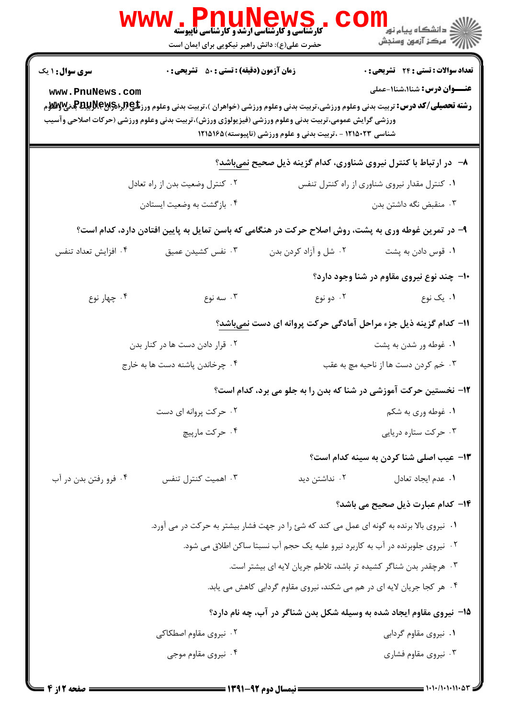|                                           | ، WWW . Pnunkews<br>حضرت علی(ع): دانش راهبر نیکویی برای ایمان است                                                                                          |                                                                                            |                                                                                                                                                                                                                                                                                                                               |
|-------------------------------------------|------------------------------------------------------------------------------------------------------------------------------------------------------------|--------------------------------------------------------------------------------------------|-------------------------------------------------------------------------------------------------------------------------------------------------------------------------------------------------------------------------------------------------------------------------------------------------------------------------------|
| <b>سری سوال : ۱ یک</b><br>www.PnuNews.com | <b>زمان آزمون (دقیقه) : تستی : 50 ٪ تشریحی : 0</b><br>ورزشي گرايش عمومي،تربيت بدني وعلوم ورزشي (فيزيولوژي ورزش)،تربيت بدني وعلوم ورزشي (حركات اصلاحي وآسيب | شناسی ۱۲۱۵۰۲۳ - ،تربیت بدنی و علوم ورزشی (ناپیوسته)۱۲۱۵۱۶۵                                 | <b>تعداد سوالات : تستی : 24 گشریحی : 0</b><br><b>عنـــوان درس:</b> شنا۱،شنا۱-عملی<br><b>رشته تحصیلی/کد درس:</b> تربیت بدنی وعلوم ورزشی،تربیت بدنی وعلوم ورزشی (خواهران )،تربیت بدنی وعلوم ورز <b>شگی(لپرلیسی لاپرلیل تولان به اس</b> لابی استان استان استان استان استان استان استان استان استان استان استان استان استان استان |
|                                           |                                                                                                                                                            |                                                                                            | ۸- در ارتباط با کنترل نیروی شناوری، کدام گزینه ذیل صحیح <u>نمیباشد</u> ؟                                                                                                                                                                                                                                                      |
|                                           | ۰۲ کنترل وضعیت بدن از راه تعادل<br>۰۱ کنترل مقدار نیروی شناوری از راه کنترل تنفس                                                                           |                                                                                            |                                                                                                                                                                                                                                                                                                                               |
|                                           | ۰۴ بازگشت به وضعیت ایستادن                                                                                                                                 | ۰۳ منقبض نگه داشتن بدن                                                                     |                                                                                                                                                                                                                                                                                                                               |
|                                           | ۹- در تمرین غوطه وری به پشت، روش اصلاح حرکت در هنگامی که باسن تمایل به پایین افتادن دارد، کدام است؟                                                        |                                                                                            |                                                                                                                                                                                                                                                                                                                               |
| ۰۴ افزایش تعداد تنفس                      | ۰۳ نفس کشیدن عمیق                                                                                                                                          | ۰۲ شل و آزاد کردن بدن                                                                      | ٠١ قوس دادن به پشت                                                                                                                                                                                                                                                                                                            |
|                                           |                                                                                                                                                            |                                                                                            | ۱۰– چند نوع نیروی مقاوم در شنا وجود دارد؟                                                                                                                                                                                                                                                                                     |
| ۰۴ چهار نوع                               | ۰۳ سه نوع                                                                                                                                                  | ۰۲ دو نوع                                                                                  | ۰۱ یک نوع                                                                                                                                                                                                                                                                                                                     |
|                                           |                                                                                                                                                            |                                                                                            | 11- کدام گزینه ذیل جزء مراحل آمادگی حرکت پروانه ای دست نمیباشد؟                                                                                                                                                                                                                                                               |
|                                           | ۰۲ قرار دادن دست ها در کنار بدن                                                                                                                            |                                                                                            | ۰۱ غوطه ور شدن به پشت                                                                                                                                                                                                                                                                                                         |
|                                           | ۰۴ چرخاندن پاشنه دست ها به خارج                                                                                                                            | ۰۳ خم کردن دست ها از ناحیه مچ به عقب                                                       |                                                                                                                                                                                                                                                                                                                               |
|                                           |                                                                                                                                                            |                                                                                            | ۱۲- نخستین حرکت آموزشی در شنا که بدن را به جلو می برد، کدام است؟                                                                                                                                                                                                                                                              |
|                                           | ۰۲ حرکت پروانه ای دست                                                                                                                                      |                                                                                            | ۰۱ غوطه وري به شكم                                                                                                                                                                                                                                                                                                            |
|                                           | ۰۴ حرکت مارییچ                                                                                                                                             |                                                                                            | ۰۳ حرکت ستاره دریایی                                                                                                                                                                                                                                                                                                          |
|                                           |                                                                                                                                                            |                                                                                            | <b>۱۳</b> - عیب اصلی شنا کردن به سینه کدام است؟                                                                                                                                                                                                                                                                               |
| ۰۴ فرو رفتن بدن در آب                     | ۰۳ اهمیت کنترل تنفس                                                                                                                                        | ۰۲ نداشتن دید                                                                              | ٠١. عدم ايجاد تعادل                                                                                                                                                                                                                                                                                                           |
|                                           |                                                                                                                                                            |                                                                                            | <b>۱۴</b> – کدام عبارت ذیل صحیح می باشد؟                                                                                                                                                                                                                                                                                      |
|                                           |                                                                                                                                                            | ۰۱ نیروی بالا برنده به گونه ای عمل می کند که شئ را در جهت فشار بیشتر به حرکت در می آورد.   |                                                                                                                                                                                                                                                                                                                               |
|                                           |                                                                                                                                                            | <sup>۲</sup> ۰ نیروی جلوبرنده در آب به کاربرد نیرو علیه یک حجم آب نسبتا ساکن اطلاق می شود. |                                                                                                                                                                                                                                                                                                                               |
|                                           |                                                                                                                                                            | ۰۳ هرچقدر بدن شناگر کشیده تر باشد، تلاطم جریان لایه ای بیشتر است.                          |                                                                                                                                                                                                                                                                                                                               |
|                                           |                                                                                                                                                            | ۰۴ هر کجا جریان لایه ای در هم می شکند، نیروی مقاوم گردابی کاهش می یابد.                    |                                                                                                                                                                                                                                                                                                                               |
|                                           |                                                                                                                                                            |                                                                                            | ۱۵– نیروی مقاوم ایجاد شده به وسیله شکل بدن شناگر در آب، چه نام دارد؟                                                                                                                                                                                                                                                          |
| ۰۲ نیروی مقاوم اصطکاکی                    |                                                                                                                                                            |                                                                                            | ۰۱ نیروی مقاوم گردابی                                                                                                                                                                                                                                                                                                         |
|                                           | ۰۴ نیروی مقاوم موجی                                                                                                                                        |                                                                                            | ۰۳ نیروی مقاوم فشاری                                                                                                                                                                                                                                                                                                          |
|                                           |                                                                                                                                                            |                                                                                            |                                                                                                                                                                                                                                                                                                                               |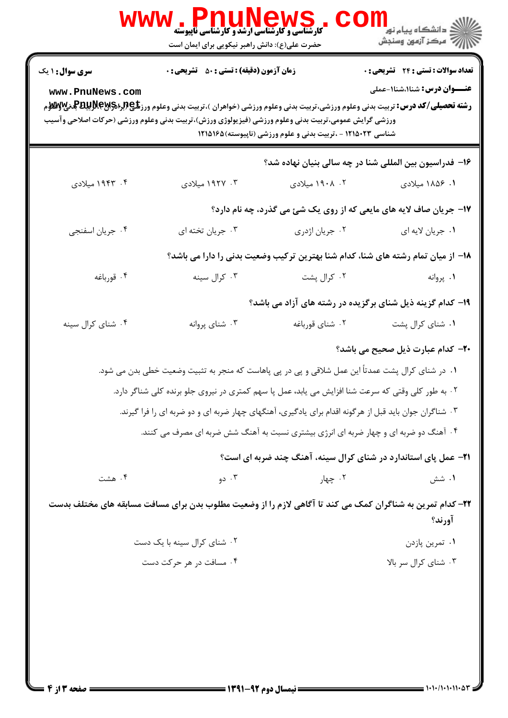|                                                                                                                                                                                                                                                                                                                                                                                                                                                 | ، WWW . PLIUNGWS<br>کارشناسی و کارشناسی آرشد و کارشناسی ناپیوسته<br>حضرت علی(ع): دانش راهبر نیکویی برای ایمان است |                 | ڪ دانشڪاه پيام نور<br><mark>∕</mark> 7 مرڪز آزمون وسنڊش                          |  |  |
|-------------------------------------------------------------------------------------------------------------------------------------------------------------------------------------------------------------------------------------------------------------------------------------------------------------------------------------------------------------------------------------------------------------------------------------------------|-------------------------------------------------------------------------------------------------------------------|-----------------|----------------------------------------------------------------------------------|--|--|
| <b>سری سوال : ۱ یک</b>                                                                                                                                                                                                                                                                                                                                                                                                                          | <b>زمان آزمون (دقیقه) : تستی : 50 ٪ تشریحی : 0</b>                                                                |                 | <b>تعداد سوالات : تستی : 24 - تشریحی : 0</b>                                     |  |  |
| <b>عنـــوان درس:</b> شنا۱،شنا۱-عملی<br>www.PnuNews.com<br><b>رشته تحصیلی/کد درس:</b> تربیت بدنی وعلوم ورزشی،تربیت بدنی وعلوم ورزشی (خواهران )،تربیت بدنی وعلوم ورز <b>شگی(لپرلیلی این استان به استان استان</b> است استان استان استان استان استان استان استان است<br>منابع<br>ورزشي گرايش عمومي،تربيت بدني وعلوم ورزشي (فيزيولوژي ورزش)،تربيت بدني وعلوم ورزشي (حركات اصلاحي وآسيب<br>شناسی ۱۲۱۵۰۲۳ - ،تربیت بدنی و علوم ورزشی (ناپیوسته)۱۲۱۵۱۶۵ |                                                                                                                   |                 |                                                                                  |  |  |
|                                                                                                                                                                                                                                                                                                                                                                                                                                                 |                                                                                                                   |                 | ۱۶– فدراسیون بین المللی شنا در چه سالی بنیان نهاده شد؟                           |  |  |
| ۰۴ ۱۹۴۳ میلادی                                                                                                                                                                                                                                                                                                                                                                                                                                  | ۰۳ ۱۹۲۷ میلادی                                                                                                    | ۰۲ ۱۹۰۸ میلادی  | ۰۱ ۱۸۵۶ میلادی                                                                   |  |  |
|                                                                                                                                                                                                                                                                                                                                                                                                                                                 |                                                                                                                   |                 | ۱۷- جریان صاف لایه های مایعی که از روی یک شئ می گذرد، چه نام دارد؟               |  |  |
| ۰۴ جريان اسفنجي                                                                                                                                                                                                                                                                                                                                                                                                                                 | ۰۳ جریان تخته ای                                                                                                  | ۰۲ جریان اژدری  | ٠١. جريان لايه اي                                                                |  |  |
|                                                                                                                                                                                                                                                                                                                                                                                                                                                 |                                                                                                                   |                 | ۱۸– از میان تمام رشته های شنا، کدام شنا بهترین ترکیب وضعیت بدنی را دارا می باشد؟ |  |  |
| ۰۴ قورباغه                                                                                                                                                                                                                                                                                                                                                                                                                                      | ۰۳ کرال سینه                                                                                                      | ۰۲ کرال پشت     | ۰۱ پروانه                                                                        |  |  |
|                                                                                                                                                                                                                                                                                                                                                                                                                                                 |                                                                                                                   |                 | ۱۹- کدام گزینه ذیل شنای برگزیده در رشته های آزاد می باشد؟                        |  |  |
| ۰۴ شنای کرال سینه                                                                                                                                                                                                                                                                                                                                                                                                                               | ۰۳ شنای پروانه                                                                                                    | ۰۲ شنای قورباغه | ۰۱ شنای کرال پشت                                                                 |  |  |
|                                                                                                                                                                                                                                                                                                                                                                                                                                                 |                                                                                                                   |                 | <b>۰۲۰</b> کدام عبارت ذیل صحیح می باشد؟                                          |  |  |
|                                                                                                                                                                                                                                                                                                                                                                                                                                                 | ۰۱ در شنای کرال پشت عمدتاً این عمل شلاقی و پی در پی پاهاست که منجر به تثبیت وضعیت خطی بدن می شود.                 |                 |                                                                                  |  |  |
|                                                                                                                                                                                                                                                                                                                                                                                                                                                 | ۰۲ به طور کلی وقتی که سرعت شنا افزایش می یابد، عمل پا سهم کمتری در نیروی جلو برنده کلی شناگر دارد.                |                 |                                                                                  |  |  |
|                                                                                                                                                                                                                                                                                                                                                                                                                                                 | ۰۳ شناگران جوان باید قبل از هرگونه اقدام برای یادگیری، آهنگهای چهار ضربه ای و دو ضربه ای را فرا گیرند.            |                 |                                                                                  |  |  |
|                                                                                                                                                                                                                                                                                                                                                                                                                                                 | ۰۴ آهنگ دو ضربه ای و چهار ضربه ای انرژی بیشتری نسبت به آهنگ شش ضربه ای مصرف می کنند.                              |                 |                                                                                  |  |  |
|                                                                                                                                                                                                                                                                                                                                                                                                                                                 |                                                                                                                   |                 | <b>۲۱</b> - عمل پای استاندارد در شنای کرال سینه، آهنگ چند ضربه ای است؟           |  |  |
| ۰۴ هشت                                                                                                                                                                                                                                                                                                                                                                                                                                          | ۰۳ دو                                                                                                             | ۰۲ چهار         | ۰۱ شش                                                                            |  |  |
|                                                                                                                                                                                                                                                                                                                                                                                                                                                 | ۲۲– کدام تمرین به شناگران کمک می کند تا آگاهی لازم را از وضعیت مطلوب بدن برای مسافت مسابقه های مختلف بدست         |                 | آورند؟                                                                           |  |  |
| ۰۲ شنای کرال سینه با یک دست                                                                                                                                                                                                                                                                                                                                                                                                                     |                                                                                                                   |                 | ۰۱ تمرين پازدن                                                                   |  |  |
|                                                                                                                                                                                                                                                                                                                                                                                                                                                 | ۰۴ مسافت در هر حرکت دست                                                                                           |                 | ۰۳ شنای کرال سر بالا                                                             |  |  |
|                                                                                                                                                                                                                                                                                                                                                                                                                                                 |                                                                                                                   |                 |                                                                                  |  |  |